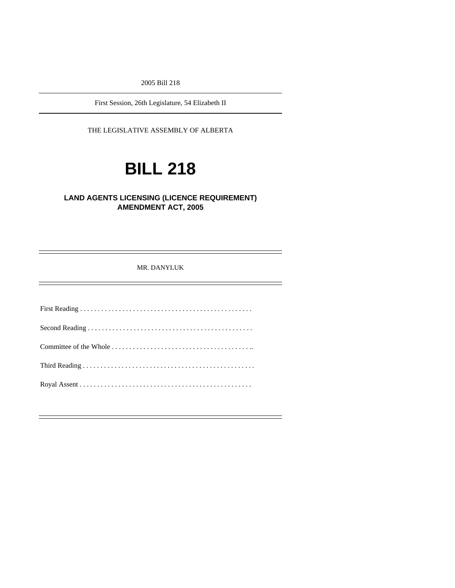2005 Bill 218

First Session, 26th Legislature, 54 Elizabeth II

THE LEGISLATIVE ASSEMBLY OF ALBERTA

# **BILL 218**

### **LAND AGENTS LICENSING (LICENCE REQUIREMENT) AMENDMENT ACT, 2005**

MR. DANYLUK

First Reading . . . . . . . . . . . . . . . . . . . . . . . . . . . . . . . . . . . . . . . . . . . . . . . . . Second Reading . . . . . . . . . . . . . . . . . . . . . . . . . . . . . . . . . . . . . . . . . . . . . . . Committee of the Whole . . . . . . . . . . . . . . . . . . . . . . . . . . . . . . . . . . . . . . . .. Third Reading . . . . . . . . . . . . . . . . . . . . . . . . . . . . . . . . . . . . . . . . . . . . . . . . . Royal Assent . . . . . . . . . . . . . . . . . . . . . . . . . . . . . . . . . . . . . . . . . . . . . . . . .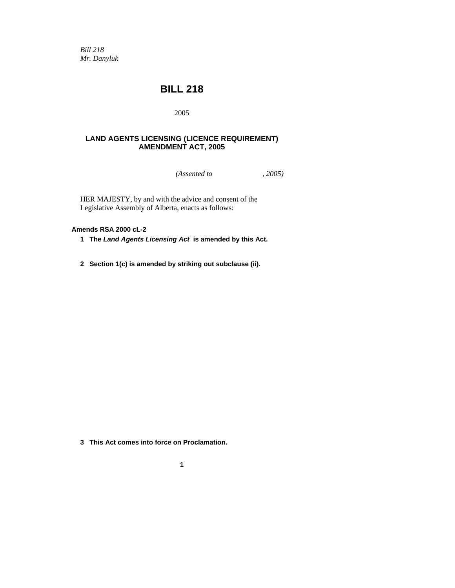*Bill 218 Mr. Danyluk* 

## **BILL 218**

2005

#### **LAND AGENTS LICENSING (LICENCE REQUIREMENT) AMENDMENT ACT, 2005**

*(Assented to , 2005)* 

HER MAJESTY, by and with the advice and consent of the Legislative Assembly of Alberta, enacts as follows:

#### **Amends RSA 2000 cL-2**

- **1 The** *Land Agents Licensing Act* **is amended by this Act.**
- **2 Section 1(c) is amended by striking out subclause (ii).**

- **3 This Act comes into force on Proclamation.** 
	- **1**